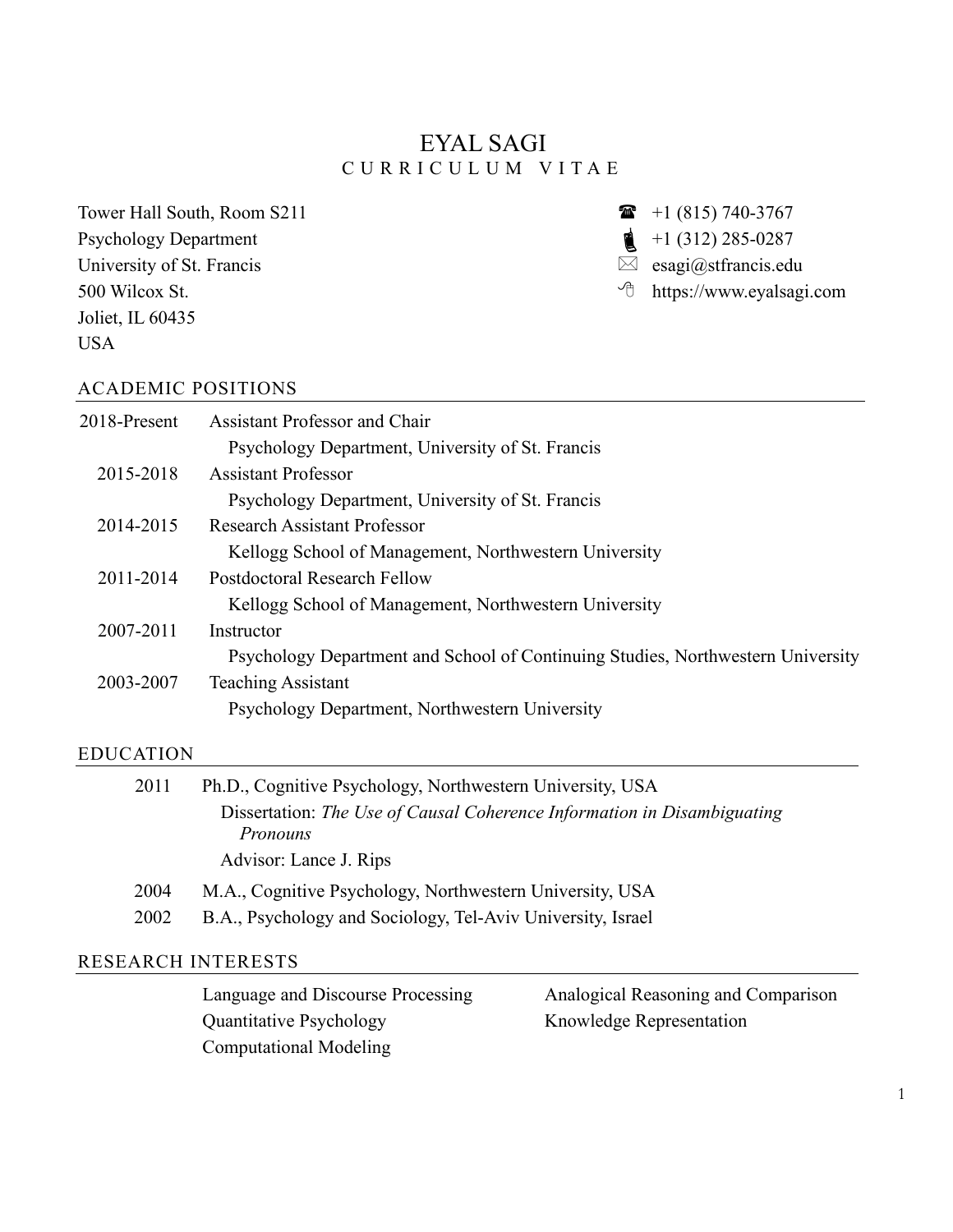# EYAL SAGI C U R R I C U L U M V I T A E

Tower Hall South, Room S211 Psychology Department University of St. Francis 500 Wilcox St. Joliet, IL 60435 USA

 $\bullet$  +1 (815) 740-3767  $\triangle$  +1 (312) 285-0287

- $\boxtimes$  esagi@stfrancis.edu
- https://www.eyalsagi.com

#### ACADEMIC POSITIONS

| 2018-Present | Assistant Professor and Chair                                                   |
|--------------|---------------------------------------------------------------------------------|
|              | Psychology Department, University of St. Francis                                |
| 2015-2018    | <b>Assistant Professor</b>                                                      |
|              | Psychology Department, University of St. Francis                                |
| 2014-2015    | <b>Research Assistant Professor</b>                                             |
|              | Kellogg School of Management, Northwestern University                           |
| 2011-2014    | Postdoctoral Research Fellow                                                    |
|              | Kellogg School of Management, Northwestern University                           |
| 2007-2011    | Instructor                                                                      |
|              | Psychology Department and School of Continuing Studies, Northwestern University |
| 2003-2007    | <b>Teaching Assistant</b>                                                       |
|              | Psychology Department, Northwestern University                                  |
|              |                                                                                 |

#### EDUCATION

| 2011 | Ph.D., Cognitive Psychology, Northwestern University, USA               |
|------|-------------------------------------------------------------------------|
|      | Dissertation: The Use of Causal Coherence Information in Disambiguating |
|      | <i>Pronouns</i>                                                         |
|      | Advisor: Lance J. Rips                                                  |
| 2004 | M.A., Cognitive Psychology, Northwestern University, USA                |
| 2002 | B.A., Psychology and Sociology, Tel-Aviv University, Israel             |
|      |                                                                         |

### RESEARCH INTERESTS

Language and Discourse Processing Quantitative Psychology Computational Modeling

Analogical Reasoning and Comparison Knowledge Representation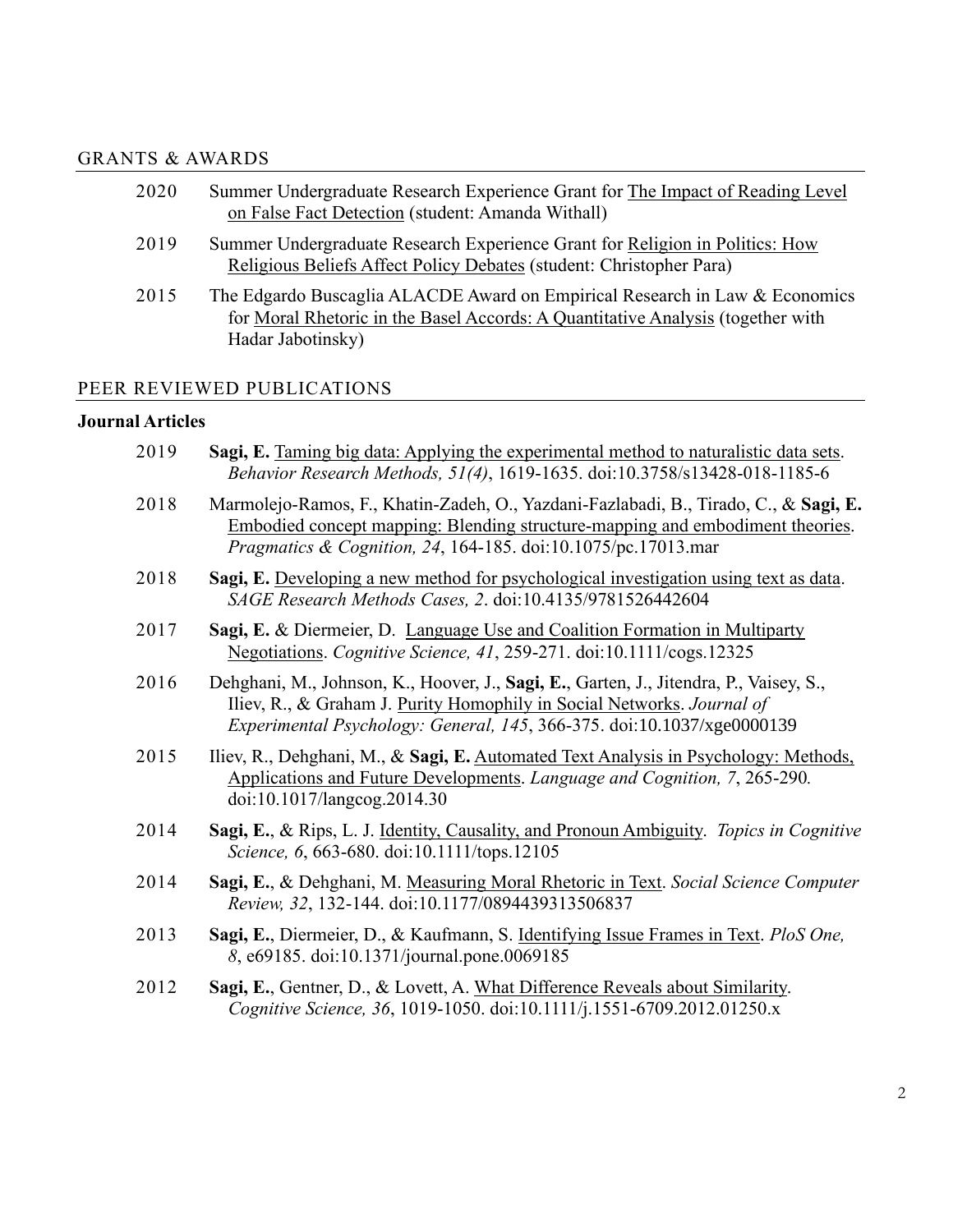### GRANTS & AWARDS

| 2020 | Summer Undergraduate Research Experience Grant for The Impact of Reading Level                                                                                 |
|------|----------------------------------------------------------------------------------------------------------------------------------------------------------------|
|      | on False Fact Detection (student: Amanda Withall)                                                                                                              |
| 2019 | Summer Undergraduate Research Experience Grant for Religion in Politics: How<br>Religious Beliefs Affect Policy Debates (student: Christopher Para)            |
| 2015 | The Edgardo Buscaglia ALACDE Award on Empirical Research in Law & Economics<br>for Moral Rhetoric in the Basel Accords: A Quantitative Analysis (together with |
|      | Hadar Jabotinsky)                                                                                                                                              |

### PEER REVIEWED PUBLICATIONS

#### **Journal Articles**

| 2019 | Sagi, E. Taming big data: Applying the experimental method to naturalistic data sets.<br>Behavior Research Methods, 51(4), 1619-1635. doi:10.3758/s13428-018-1185-6                                                                                      |
|------|----------------------------------------------------------------------------------------------------------------------------------------------------------------------------------------------------------------------------------------------------------|
| 2018 | Marmolejo-Ramos, F., Khatin-Zadeh, O., Yazdani-Fazlabadi, B., Tirado, C., & Sagi, E.<br><u>Embodied concept mapping: Blending structure-mapping and embodiment theories.</u><br><i>Pragmatics &amp; Cognition, 24, 164-185. doi:10.1075/pc.17013.mar</i> |
| 2018 | Sagi, E. Developing a new method for psychological investigation using text as data.<br>SAGE Research Methods Cases, 2. doi:10.4135/9781526442604                                                                                                        |
| 2017 | Sagi, E. & Diermeier, D. Language Use and Coalition Formation in Multiparty<br>Negotiations. Cognitive Science, 41, 259-271. doi:10.1111/cogs.12325                                                                                                      |
| 2016 | Dehghani, M., Johnson, K., Hoover, J., Sagi, E., Garten, J., Jitendra, P., Vaisey, S.,<br>Iliev, R., & Graham J. Purity Homophily in Social Networks. Journal of<br>Experimental Psychology: General, 145, 366-375. doi:10.1037/xge0000139               |
| 2015 | Iliev, R., Dehghani, M., & Sagi, E. Automated Text Analysis in Psychology: Methods,<br>Applications and Future Developments. Language and Cognition, 7, 265-290.<br>doi:10.1017/langcog.2014.30                                                          |
| 2014 | Sagi, E., & Rips, L. J. Identity, Causality, and Pronoun Ambiguity. Topics in Cognitive<br>Science, 6, 663-680. doi:10.1111/tops.12105                                                                                                                   |
| 2014 | Sagi, E., & Dehghani, M. Measuring Moral Rhetoric in Text. Social Science Computer<br>Review, 32, 132-144. doi:10.1177/0894439313506837                                                                                                                  |
| 2013 | Sagi, E., Diermeier, D., & Kaufmann, S. Identifying Issue Frames in Text. PloS One,<br>8, e69185. doi:10.1371/journal.pone.0069185                                                                                                                       |
| 2012 | Sagi, E., Gentner, D., & Lovett, A. What Difference Reveals about Similarity.<br>Cognitive Science, 36, 1019-1050. doi:10.1111/j.1551-6709.2012.01250.x                                                                                                  |
|      |                                                                                                                                                                                                                                                          |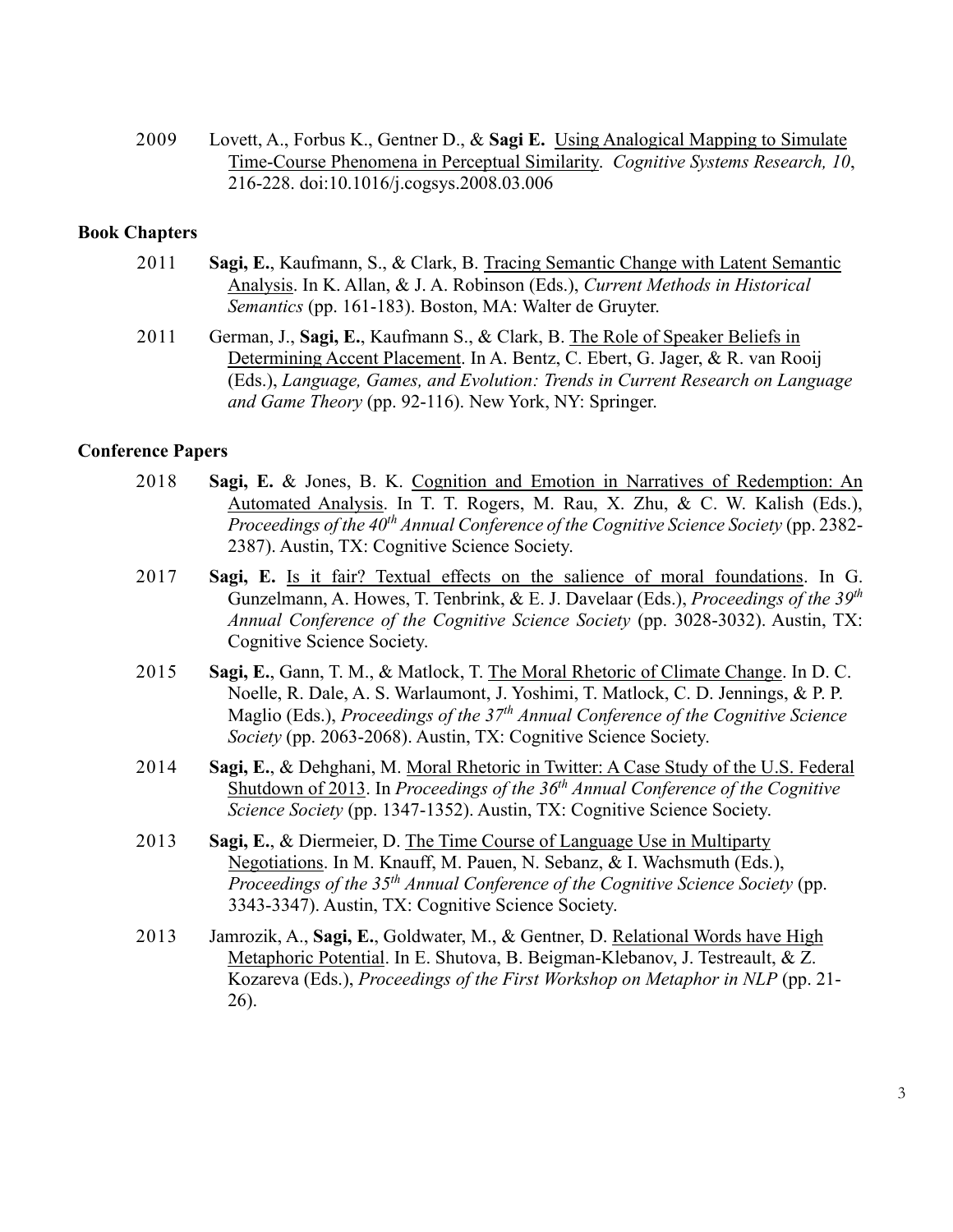2009 Lovett, A., Forbus K., Gentner D., & **Sagi E.** Using Analogical Mapping to Simulate Time-Course Phenomena in Perceptual Similarity. *Cognitive Systems Research, 10*, 216-228. doi:10.1016/j.cogsys.2008.03.006

#### **Book Chapters**

- 2011 **Sagi, E.**, Kaufmann, S., & Clark, B. Tracing Semantic Change with Latent Semantic Analysis. In K. Allan, & J. A. Robinson (Eds.), *Current Methods in Historical Semantics* (pp. 161-183). Boston, MA: Walter de Gruyter.
- 2011 German, J., **Sagi, E.**, Kaufmann S., & Clark, B. The Role of Speaker Beliefs in Determining Accent Placement. In A. Bentz, C. Ebert, G. Jager, & R. van Rooij (Eds.), *Language, Games, and Evolution: Trends in Current Research on Language and Game Theory* (pp. 92-116). New York, NY: Springer.

#### **Conference Papers**

- 2018 **Sagi, E.** & Jones, B. K. Cognition and Emotion in Narratives of Redemption: An Automated Analysis. In T. T. Rogers, M. Rau, X. Zhu, & C. W. Kalish (Eds.), *Proceedings of the 40th Annual Conference of the Cognitive Science Society* (pp. 2382- 2387). Austin, TX: Cognitive Science Society.
- 2017 **Sagi, E.** Is it fair? Textual effects on the salience of moral foundations. In G. Gunzelmann, A. Howes, T. Tenbrink, & E. J. Davelaar (Eds.), *Proceedings of the 39th Annual Conference of the Cognitive Science Society* (pp. 3028-3032). Austin, TX: Cognitive Science Society.
- 2015 **Sagi, E.**, Gann, T. M., & Matlock, T. The Moral Rhetoric of Climate Change. In D. C. Noelle, R. Dale, A. S. Warlaumont, J. Yoshimi, T. Matlock, C. D. Jennings, & P. P. Maglio (Eds.), *Proceedings of the 37th Annual Conference of the Cognitive Science Society* (pp. 2063-2068). Austin, TX: Cognitive Science Society.
- 2014 **Sagi, E.**, & Dehghani, M. Moral Rhetoric in Twitter: A Case Study of the U.S. Federal Shutdown of 2013. In *Proceedings of the 36th Annual Conference of the Cognitive Science Society* (pp. 1347-1352). Austin, TX: Cognitive Science Society.
- 2013 **Sagi, E.**, & Diermeier, D. The Time Course of Language Use in Multiparty Negotiations. In M. Knauff, M. Pauen, N. Sebanz, & I. Wachsmuth (Eds.), *Proceedings of the 35th Annual Conference of the Cognitive Science Society* (pp. 3343-3347). Austin, TX: Cognitive Science Society.
- 2013 Jamrozik, A., **Sagi, E.**, Goldwater, M., & Gentner, D. Relational Words have High Metaphoric Potential. In E. Shutova, B. Beigman-Klebanov, J. Testreault, & Z. Kozareva (Eds.), *Proceedings of the First Workshop on Metaphor in NLP* (pp. 21- 26).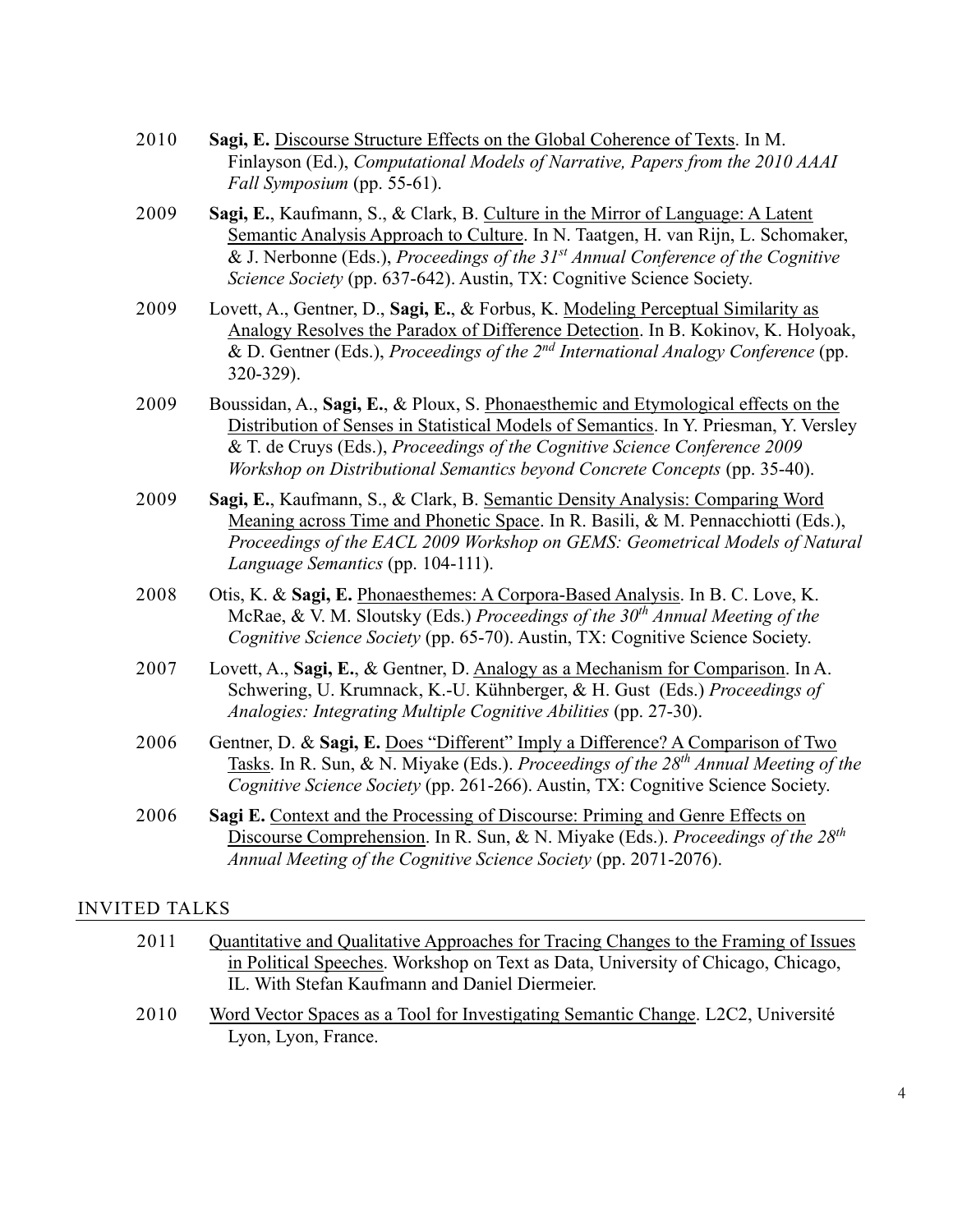| 2010 | Sagi, E. Discourse Structure Effects on the Global Coherence of Texts. In M.                 |
|------|----------------------------------------------------------------------------------------------|
|      | Finlayson (Ed.), <i>Computational Models of Narrative</i> , <i>Papers from the 2010 AAAI</i> |
|      | <i>Fall Symposium</i> (pp. 55-61).                                                           |

- 2009 **Sagi, E.**, Kaufmann, S., & Clark, B. Culture in the Mirror of Language: A Latent Semantic Analysis Approach to Culture. In N. Taatgen, H. van Rijn, L. Schomaker, & J. Nerbonne (Eds.), *Proceedings of the 31st Annual Conference of the Cognitive Science Society* (pp. 637-642). Austin, TX: Cognitive Science Society.
- 2009 Lovett, A., Gentner, D., **Sagi, E.**, & Forbus, K. Modeling Perceptual Similarity as Analogy Resolves the Paradox of Difference Detection. In B. Kokinov, K. Holyoak, & D. Gentner (Eds.), *Proceedings of the 2nd International Analogy Conference* (pp. 320-329).
- 2009 Boussidan, A., **Sagi, E.**, & Ploux, S. Phonaesthemic and Etymological effects on the Distribution of Senses in Statistical Models of Semantics. In Y. Priesman, Y. Versley & T. de Cruys (Eds.), *Proceedings of the Cognitive Science Conference 2009 Workshop on Distributional Semantics beyond Concrete Concepts* (pp. 35-40).
- 2009 **Sagi, E.**, Kaufmann, S., & Clark, B. Semantic Density Analysis: Comparing Word Meaning across Time and Phonetic Space. In R. Basili, & M. Pennacchiotti (Eds.), *Proceedings of the EACL 2009 Workshop on GEMS: Geometrical Models of Natural Language Semantics* (pp. 104-111).
- 2008 Otis, K. & **Sagi, E.** Phonaesthemes: A Corpora-Based Analysis. In B. C. Love, K. McRae, & V. M. Sloutsky (Eds.) *Proceedings of the 30th Annual Meeting of the Cognitive Science Society* (pp. 65-70). Austin, TX: Cognitive Science Society.
- 2007 Lovett, A., **Sagi, E.**, & Gentner, D. Analogy as a Mechanism for Comparison. In A. Schwering, U. Krumnack, K.-U. Kühnberger, & H. Gust (Eds.) *Proceedings of Analogies: Integrating Multiple Cognitive Abilities* (pp. 27-30).
- 2006 Gentner, D. & **Sagi, E.** Does "Different" Imply a Difference? A Comparison of Two Tasks. In R. Sun, & N. Miyake (Eds.). *Proceedings of the 28th Annual Meeting of the Cognitive Science Society* (pp. 261-266). Austin, TX: Cognitive Science Society.
- 2006 **Sagi E.** Context and the Processing of Discourse: Priming and Genre Effects on Discourse Comprehension. In R. Sun, & N. Miyake (Eds.). *Proceedings of the 28th Annual Meeting of the Cognitive Science Society* (pp. 2071-2076).

#### INVITED TALKS

| 2011 | Quantitative and Qualitative Approaches for Tracing Changes to the Framing of Issues |  |  |
|------|--------------------------------------------------------------------------------------|--|--|
|      | in Political Speeches. Workshop on Text as Data, University of Chicago, Chicago,     |  |  |
|      | IL. With Stefan Kaufmann and Daniel Diermeier.                                       |  |  |
| ---- | _ _ _ _ _ _ _                                                                        |  |  |

2010 Word Vector Spaces as a Tool for Investigating Semantic Change. L2C2, Université Lyon, Lyon, France.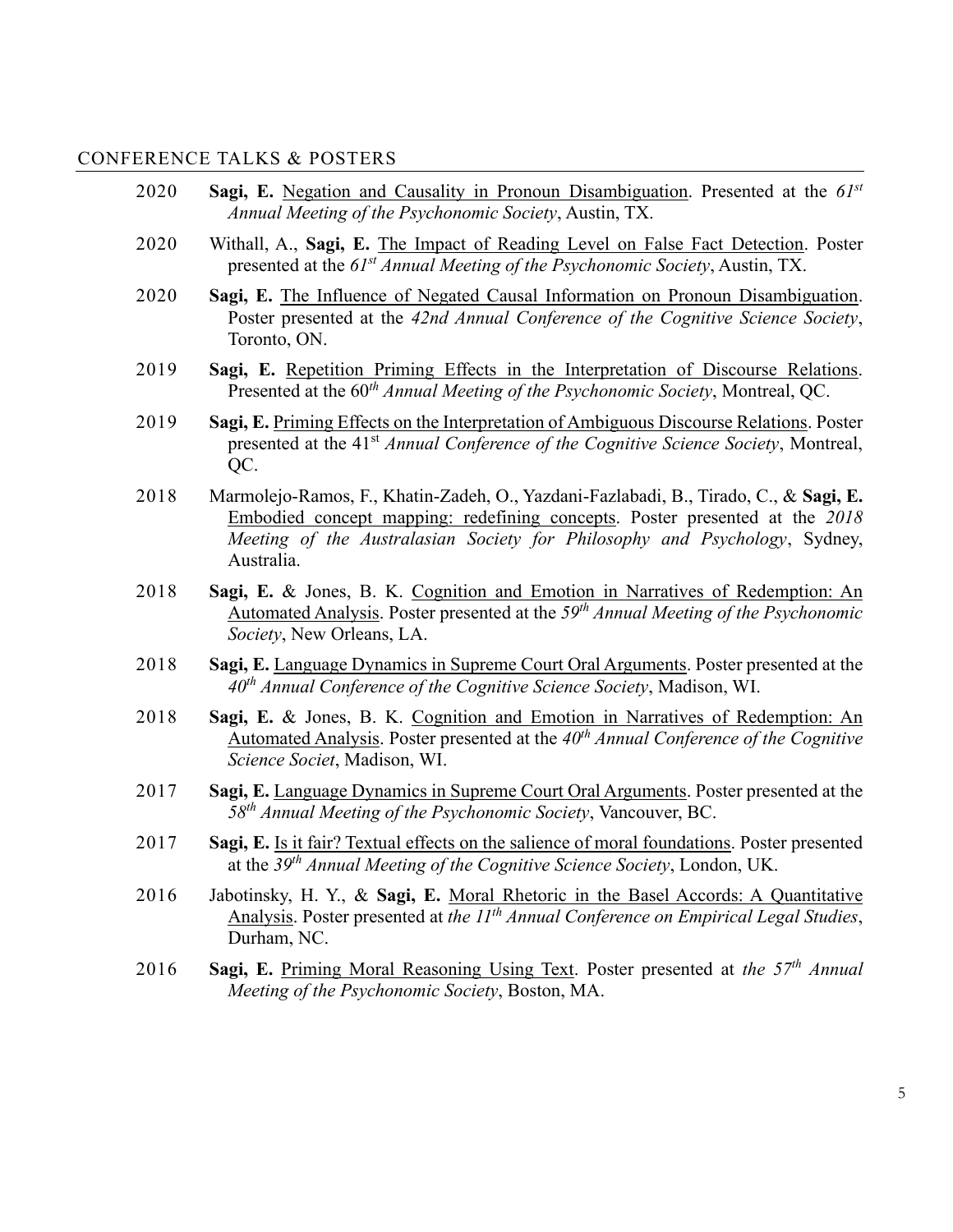## CONFERENCE TALKS & POSTERS

| 2020 | Sagi, E. Negation and Causality in Pronoun Disambiguation. Presented at the 61st<br>Annual Meeting of the Psychonomic Society, Austin, TX.                                                                                                                      |
|------|-----------------------------------------------------------------------------------------------------------------------------------------------------------------------------------------------------------------------------------------------------------------|
| 2020 | Withall, A., Sagi, E. The Impact of Reading Level on False Fact Detection. Poster<br>presented at the 61 <sup>st</sup> Annual Meeting of the Psychonomic Society, Austin, TX.                                                                                   |
| 2020 | Sagi, E. The Influence of Negated Causal Information on Pronoun Disambiguation.<br>Poster presented at the 42nd Annual Conference of the Cognitive Science Society,<br>Toronto, ON.                                                                             |
| 2019 | Sagi, E. Repetition Priming Effects in the Interpretation of Discourse Relations.<br>Presented at the 60 <sup>th</sup> Annual Meeting of the Psychonomic Society, Montreal, QC.                                                                                 |
| 2019 | Sagi, E. Priming Effects on the Interpretation of Ambiguous Discourse Relations. Poster<br>presented at the 41 <sup>st</sup> Annual Conference of the Cognitive Science Society, Montreal,<br>QC.                                                               |
| 2018 | Marmolejo-Ramos, F., Khatin-Zadeh, O., Yazdani-Fazlabadi, B., Tirado, C., & Sagi, E.<br>Embodied concept mapping: redefining concepts. Poster presented at the 2018<br>Meeting of the Australasian Society for Philosophy and Psychology, Sydney,<br>Australia. |
| 2018 | Sagi, E. & Jones, B. K. Cognition and Emotion in Narratives of Redemption: An<br>Automated Analysis. Poster presented at the 59 <sup>th</sup> Annual Meeting of the Psychonomic<br>Society, New Orleans, LA.                                                    |
| 2018 | Sagi, E. Language Dynamics in Supreme Court Oral Arguments. Poster presented at the<br>$40th$ Annual Conference of the Cognitive Science Society, Madison, WI.                                                                                                  |
| 2018 | Sagi, E. & Jones, B. K. Cognition and Emotion in Narratives of Redemption: An<br><u>Automated Analysis</u> . Poster presented at the $40th$ Annual Conference of the Cognitive<br>Science Societ, Madison, WI.                                                  |
| 2017 | Sagi, E. Language Dynamics in Supreme Court Oral Arguments. Poster presented at the<br>$58th$ Annual Meeting of the Psychonomic Society, Vancouver, BC.                                                                                                         |
| 2017 | Sagi, E. Is it fair? Textual effects on the salience of moral foundations. Poster presented<br>at the $39th$ Annual Meeting of the Cognitive Science Society, London, UK.                                                                                       |
| 2016 | Jabotinsky, H. Y., & Sagi, E. Moral Rhetoric in the Basel Accords: A Quantitative<br>Analysis. Poster presented at the $IIth$ Annual Conference on Empirical Legal Studies,<br>Durham, NC.                                                                      |
| 2016 | Sagi, E. Priming Moral Reasoning Using Text. Poster presented at the $57th$ Annual<br>Meeting of the Psychonomic Society, Boston, MA.                                                                                                                           |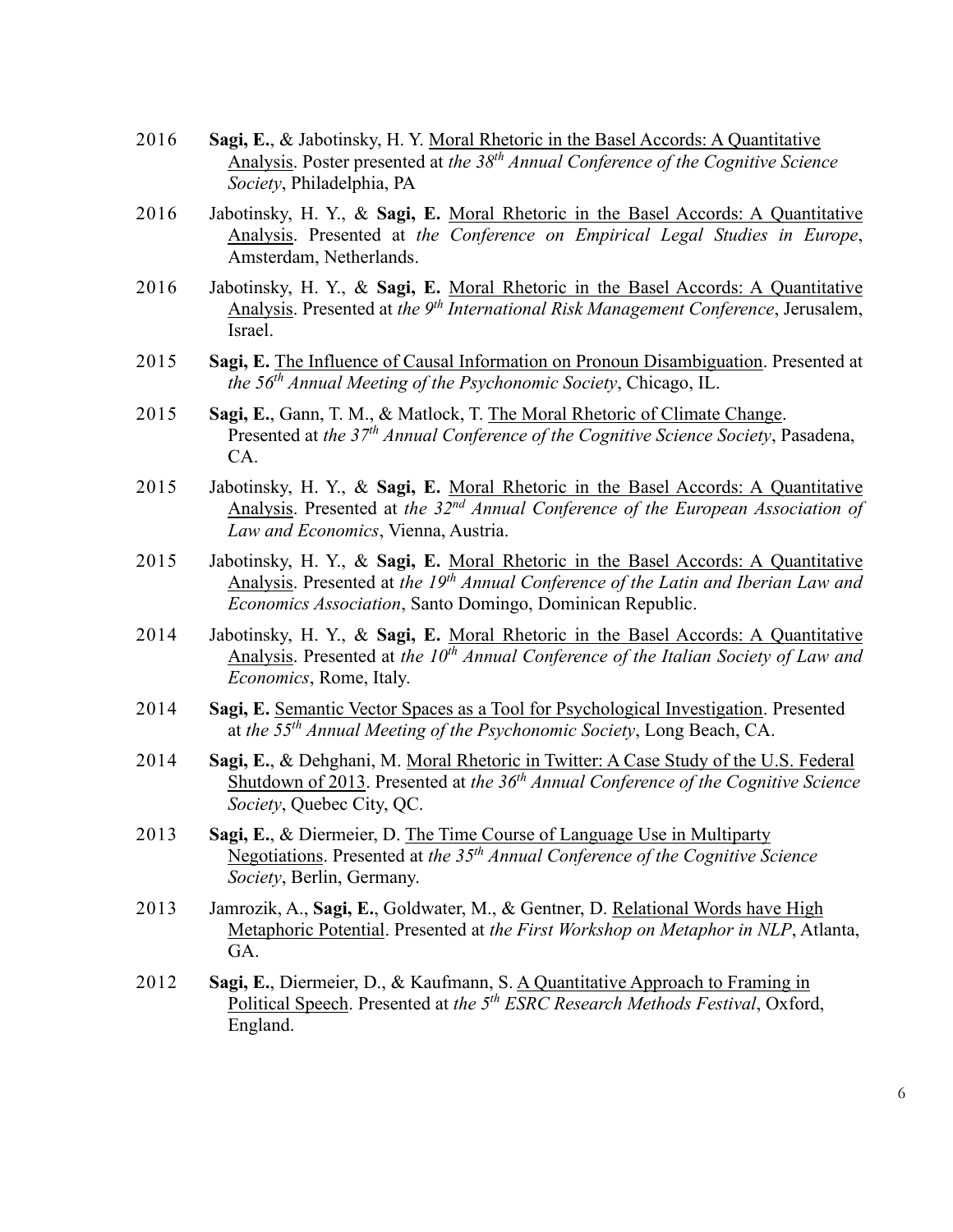- 2016 **Sagi, E.**, & Jabotinsky, H. Y. Moral Rhetoric in the Basel Accords: A Quantitative Analysis. Poster presented at *the 38th Annual Conference of the Cognitive Science Society*, Philadelphia, PA
- 2016 Jabotinsky, H. Y., & **Sagi, E.** Moral Rhetoric in the Basel Accords: A Quantitative Analysis. Presented at *the Conference on Empirical Legal Studies in Europe*, Amsterdam, Netherlands.
- 2016 Jabotinsky, H. Y., & **Sagi, E.** Moral Rhetoric in the Basel Accords: A Quantitative Analysis. Presented at *the 9<sup>th</sup> International Risk Management Conference*, Jerusalem, Israel.
- 2015 **Sagi, E.** The Influence of Causal Information on Pronoun Disambiguation. Presented at *the 56th Annual Meeting of the Psychonomic Society*, Chicago, IL.
- 2015 **Sagi, E.**, Gann, T. M., & Matlock, T. The Moral Rhetoric of Climate Change. Presented at *the 37th Annual Conference of the Cognitive Science Society*, Pasadena, CA.
- 2015 Jabotinsky, H. Y., & **Sagi, E.** Moral Rhetoric in the Basel Accords: A Quantitative Analysis. Presented at *the 32nd Annual Conference of the European Association of Law and Economics*, Vienna, Austria.
- 2015 Jabotinsky, H. Y., & **Sagi, E.** Moral Rhetoric in the Basel Accords: A Quantitative Analysis. Presented at *the 19th Annual Conference of the Latin and Iberian Law and Economics Association*, Santo Domingo, Dominican Republic.
- 2014 Jabotinsky, H. Y., & **Sagi, E.** Moral Rhetoric in the Basel Accords: A Quantitative Analysis. Presented at *the 10th Annual Conference of the Italian Society of Law and Economics*, Rome, Italy.
- 2014 **Sagi, E.** Semantic Vector Spaces as a Tool for Psychological Investigation. Presented at *the 55 th Annual Meeting of the Psychonomic Society*, Long Beach, CA.
- 2014 **Sagi, E.**, & Dehghani, M. Moral Rhetoric in Twitter: A Case Study of the U.S. Federal Shutdown of 2013. Presented at *the 36th Annual Conference of the Cognitive Science Society*, Quebec City, QC.
- 2013 **Sagi, E.**, & Diermeier, D. The Time Course of Language Use in Multiparty Negotiations. Presented at *the 35th Annual Conference of the Cognitive Science Society*, Berlin, Germany.
- 2013 Jamrozik, A., **Sagi, E.**, Goldwater, M., & Gentner, D. Relational Words have High Metaphoric Potential. Presented at *the First Workshop on Metaphor in NLP*, Atlanta, GA.
- 2012 **Sagi, E.**, Diermeier, D., & Kaufmann, S. A Quantitative Approach to Framing in Political Speech. Presented at *the 5th ESRC Research Methods Festival*, Oxford, England.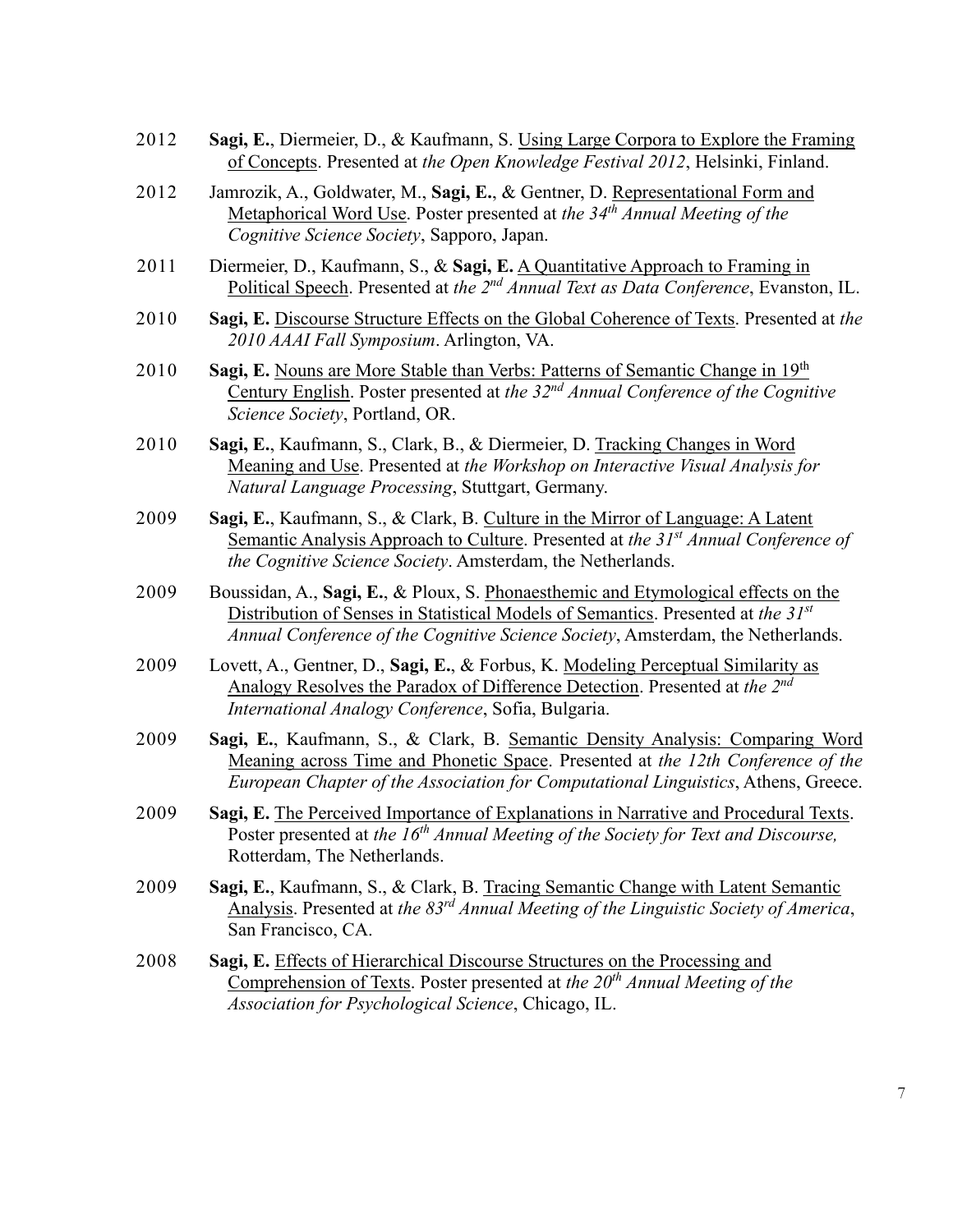- 2012 **Sagi, E.**, Diermeier, D., & Kaufmann, S. Using Large Corpora to Explore the Framing of Concepts. Presented at *the Open Knowledge Festival 2012*, Helsinki, Finland.
- 2012 Jamrozik, A., Goldwater, M., **Sagi, E.**, & Gentner, D. Representational Form and Metaphorical Word Use. Poster presented at *the 34th Annual Meeting of the Cognitive Science Society*, Sapporo, Japan.
- 2011 Diermeier, D., Kaufmann, S., & **Sagi, E.** A Quantitative Approach to Framing in Political Speech. Presented at *the 2nd Annual Text as Data Conference*, Evanston, IL.
- 2010 **Sagi, E.** Discourse Structure Effects on the Global Coherence of Texts. Presented at *the 2010 AAAI Fall Symposium*. Arlington, VA.
- 2010 **Sagi, E.** Nouns are More Stable than Verbs: Patterns of Semantic Change in 19<sup>th</sup> Century English. Poster presented at *the 32nd Annual Conference of the Cognitive Science Society*, Portland, OR.
- 2010 **Sagi, E.**, Kaufmann, S., Clark, B., & Diermeier, D. Tracking Changes in Word Meaning and Use. Presented at *the Workshop on Interactive Visual Analysis for Natural Language Processing*, Stuttgart, Germany.
- 2009 **Sagi, E.**, Kaufmann, S., & Clark, B. Culture in the Mirror of Language: A Latent Semantic Analysis Approach to Culture. Presented at *the 31st Annual Conference of the Cognitive Science Society*. Amsterdam, the Netherlands.
- 2009 Boussidan, A., **Sagi, E.**, & Ploux, S. Phonaesthemic and Etymological effects on the Distribution of Senses in Statistical Models of Semantics. Presented at *the 31st Annual Conference of the Cognitive Science Society*, Amsterdam, the Netherlands.
- 2009 Lovett, A., Gentner, D., **Sagi, E.**, & Forbus, K. Modeling Perceptual Similarity as Analogy Resolves the Paradox of Difference Detection. Presented at *the 2nd International Analogy Conference*, Sofia, Bulgaria.
- 2009 **Sagi, E.**, Kaufmann, S., & Clark, B. Semantic Density Analysis: Comparing Word Meaning across Time and Phonetic Space. Presented at *the 12th Conference of the European Chapter of the Association for Computational Linguistics*, Athens, Greece.
- 2009 **Sagi, E.** The Perceived Importance of Explanations in Narrative and Procedural Texts. Poster presented at *the 16th Annual Meeting of the Society for Text and Discourse,* Rotterdam, The Netherlands.
- 2009 **Sagi, E.**, Kaufmann, S., & Clark, B. Tracing Semantic Change with Latent Semantic Analysis. Presented at *the 83rd Annual Meeting of the Linguistic Society of America*, San Francisco, CA.
- 2008 **Sagi, E.** Effects of Hierarchical Discourse Structures on the Processing and Comprehension of Texts. Poster presented at *the 20th Annual Meeting of the Association for Psychological Science*, Chicago, IL.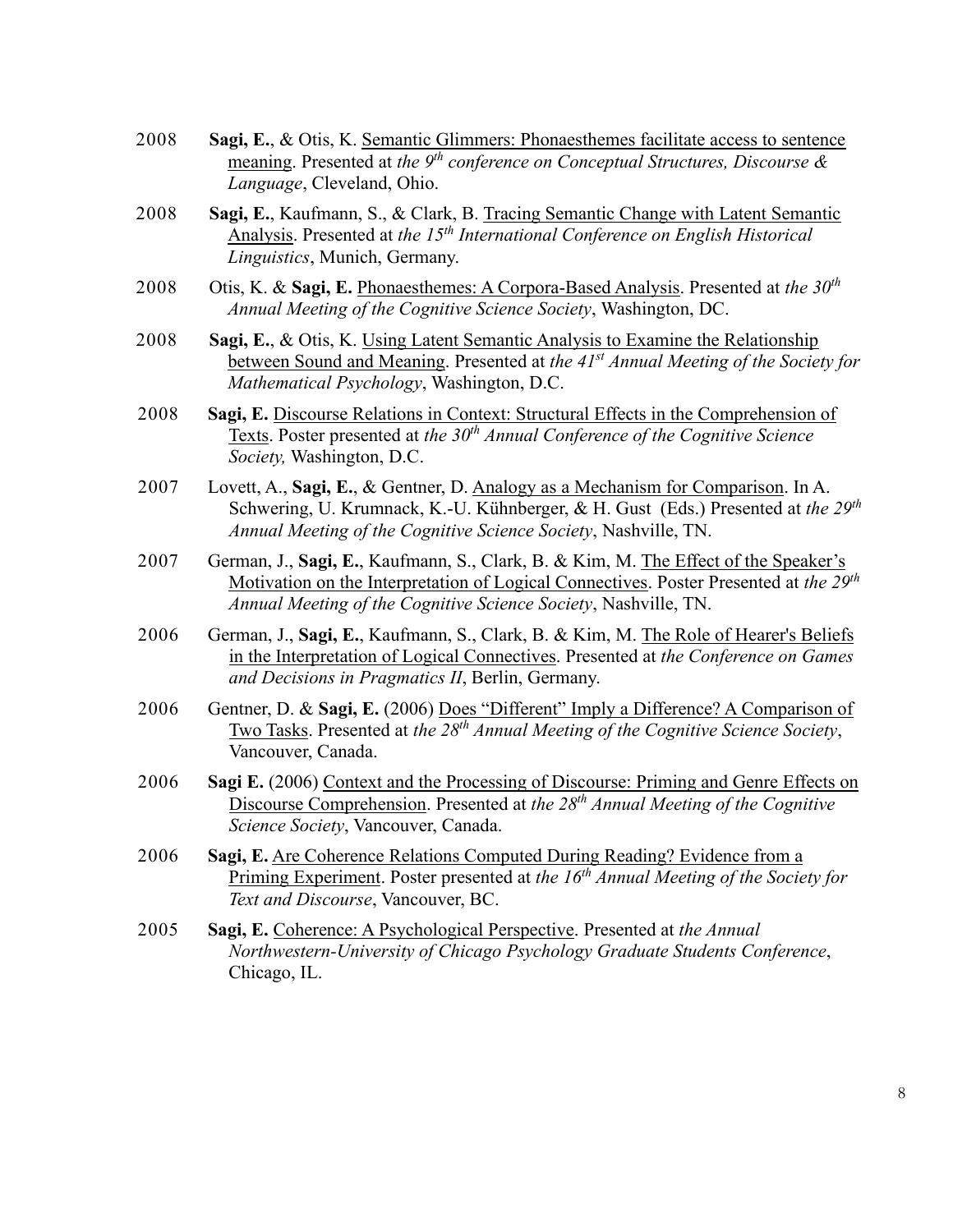| 2008 | Sagi, E., & Otis, K. Semantic Glimmers: Phonaesthemes facilitate access to sentence<br><u>meaning</u> . Presented at the $9th$ conference on Conceptual Structures, Discourse &<br>Language, Cleveland, Ohio.                                               |
|------|-------------------------------------------------------------------------------------------------------------------------------------------------------------------------------------------------------------------------------------------------------------|
| 2008 | Sagi, E., Kaufmann, S., & Clark, B. Tracing Semantic Change with Latent Semantic<br>Analysis. Presented at the 15 <sup>th</sup> International Conference on English Historical<br>Linguistics, Munich, Germany.                                             |
| 2008 | Otis, K. & Sagi, E. Phonaesthemes: A Corpora-Based Analysis. Presented at the 30 <sup>th</sup><br>Annual Meeting of the Cognitive Science Society, Washington, DC.                                                                                          |
| 2008 | Sagi, E., & Otis, K. Using Latent Semantic Analysis to Examine the Relationship<br>between Sound and Meaning. Presented at the 41 <sup>st</sup> Annual Meeting of the Society for<br>Mathematical Psychology, Washington, D.C.                              |
| 2008 | Sagi, E. Discourse Relations in Context: Structural Effects in the Comprehension of<br>Texts. Poster presented at the 30 <sup>th</sup> Annual Conference of the Cognitive Science<br>Society, Washington, D.C.                                              |
| 2007 | Lovett, A., Sagi, E., & Gentner, D. Analogy as a Mechanism for Comparison. In A.<br>Schwering, U. Krumnack, K.-U. Kühnberger, & H. Gust (Eds.) Presented at the 29 <sup>th</sup><br>Annual Meeting of the Cognitive Science Society, Nashville, TN.         |
| 2007 | German, J., Sagi, E., Kaufmann, S., Clark, B. & Kim, M. The Effect of the Speaker's<br>Motivation on the Interpretation of Logical Connectives. Poster Presented at the 29 <sup>th</sup><br>Annual Meeting of the Cognitive Science Society, Nashville, TN. |
| 2006 | German, J., Sagi, E., Kaufmann, S., Clark, B. & Kim, M. The Role of Hearer's Beliefs<br>in the Interpretation of Logical Connectives. Presented at the Conference on Games<br>and Decisions in Pragmatics II, Berlin, Germany.                              |
| 2006 | Gentner, D. & Sagi, E. (2006) Does "Different" Imply a Difference? A Comparison of<br><u>Two Tasks</u> . Presented at the $28th$ Annual Meeting of the Cognitive Science Society,<br>Vancouver, Canada.                                                     |
| 2006 | Sagi E. (2006) Context and the Processing of Discourse: Priming and Genre Effects on<br>Discourse Comprehension. Presented at the $28th$ Annual Meeting of the Cognitive<br>Science Society, Vancouver, Canada.                                             |
| 2006 | Sagi, E. Are Coherence Relations Computed During Reading? Evidence from a<br>Priming Experiment. Poster presented at the 16 <sup>th</sup> Annual Meeting of the Society for<br>Text and Discourse, Vancouver, BC.                                           |
| 2005 | Sagi, E. Coherence: A Psychological Perspective. Presented at the Annual<br>Northwestern-University of Chicago Psychology Graduate Students Conference,<br>Chicago, IL.                                                                                     |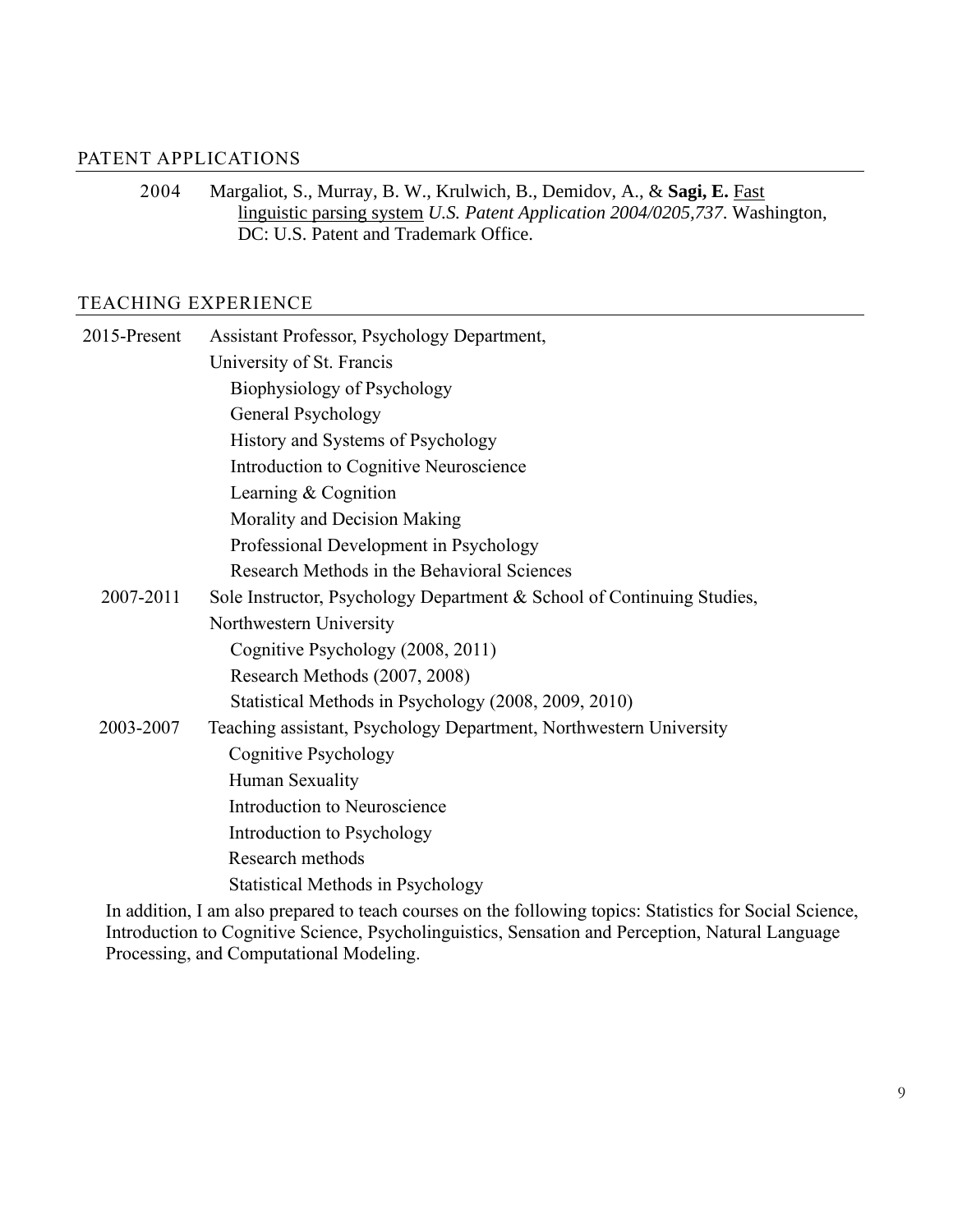#### PATENT APPLICATIONS

2004 Margaliot, S., Murray, B. W., Krulwich, B., Demidov, A., & **Sagi, E.** Fast linguistic parsing system *U.S. Patent Application 2004/0205,737*. Washington, DC: U.S. Patent and Trademark Office.

### TEACHING EXPERIENCE

| 2015-Present | Assistant Professor, Psychology Department,                                                                                                                                                                                                                                                                                                                                                                                |
|--------------|----------------------------------------------------------------------------------------------------------------------------------------------------------------------------------------------------------------------------------------------------------------------------------------------------------------------------------------------------------------------------------------------------------------------------|
|              | University of St. Francis                                                                                                                                                                                                                                                                                                                                                                                                  |
|              | Biophysiology of Psychology                                                                                                                                                                                                                                                                                                                                                                                                |
|              | General Psychology                                                                                                                                                                                                                                                                                                                                                                                                         |
|              | History and Systems of Psychology                                                                                                                                                                                                                                                                                                                                                                                          |
|              | Introduction to Cognitive Neuroscience                                                                                                                                                                                                                                                                                                                                                                                     |
|              | Learning & Cognition                                                                                                                                                                                                                                                                                                                                                                                                       |
|              | Morality and Decision Making                                                                                                                                                                                                                                                                                                                                                                                               |
|              | Professional Development in Psychology                                                                                                                                                                                                                                                                                                                                                                                     |
|              | Research Methods in the Behavioral Sciences                                                                                                                                                                                                                                                                                                                                                                                |
| 2007-2011    | Sole Instructor, Psychology Department & School of Continuing Studies,                                                                                                                                                                                                                                                                                                                                                     |
|              | Northwestern University                                                                                                                                                                                                                                                                                                                                                                                                    |
|              | Cognitive Psychology (2008, 2011)                                                                                                                                                                                                                                                                                                                                                                                          |
|              | Research Methods (2007, 2008)                                                                                                                                                                                                                                                                                                                                                                                              |
|              | Statistical Methods in Psychology (2008, 2009, 2010)                                                                                                                                                                                                                                                                                                                                                                       |
| 2003-2007    | Teaching assistant, Psychology Department, Northwestern University                                                                                                                                                                                                                                                                                                                                                         |
|              | <b>Cognitive Psychology</b>                                                                                                                                                                                                                                                                                                                                                                                                |
|              | Human Sexuality                                                                                                                                                                                                                                                                                                                                                                                                            |
|              | Introduction to Neuroscience                                                                                                                                                                                                                                                                                                                                                                                               |
|              | Introduction to Psychology                                                                                                                                                                                                                                                                                                                                                                                                 |
|              | Research methods                                                                                                                                                                                                                                                                                                                                                                                                           |
|              | <b>Statistical Methods in Psychology</b>                                                                                                                                                                                                                                                                                                                                                                                   |
|              | $\mathbf{I}_n = \mathbf{I} \mathbf{I} \mathbf{I}_n^T$ , $\mathbf{I}_n = \mathbf{I}_n = \mathbf{I}_n = \mathbf{I}_n = \mathbf{I}_n = \mathbf{I}_n = \mathbf{I}_n = \mathbf{I}_n = \mathbf{I}_n = \mathbf{I}_n = \mathbf{I}_n = \mathbf{I}_n = \mathbf{I}_n = \mathbf{I}_n = \mathbf{I}_n = \mathbf{I}_n = \mathbf{I}_n = \mathbf{I}_n = \mathbf{I}_n = \mathbf{I}_n = \mathbf{I}_n = \mathbf{I}_n = \mathbf{I}_n = \mathbf$ |

In addition, I am also prepared to teach courses on the following topics: Statistics for Social Science, Introduction to Cognitive Science, Psycholinguistics, Sensation and Perception, Natural Language Processing, and Computational Modeling.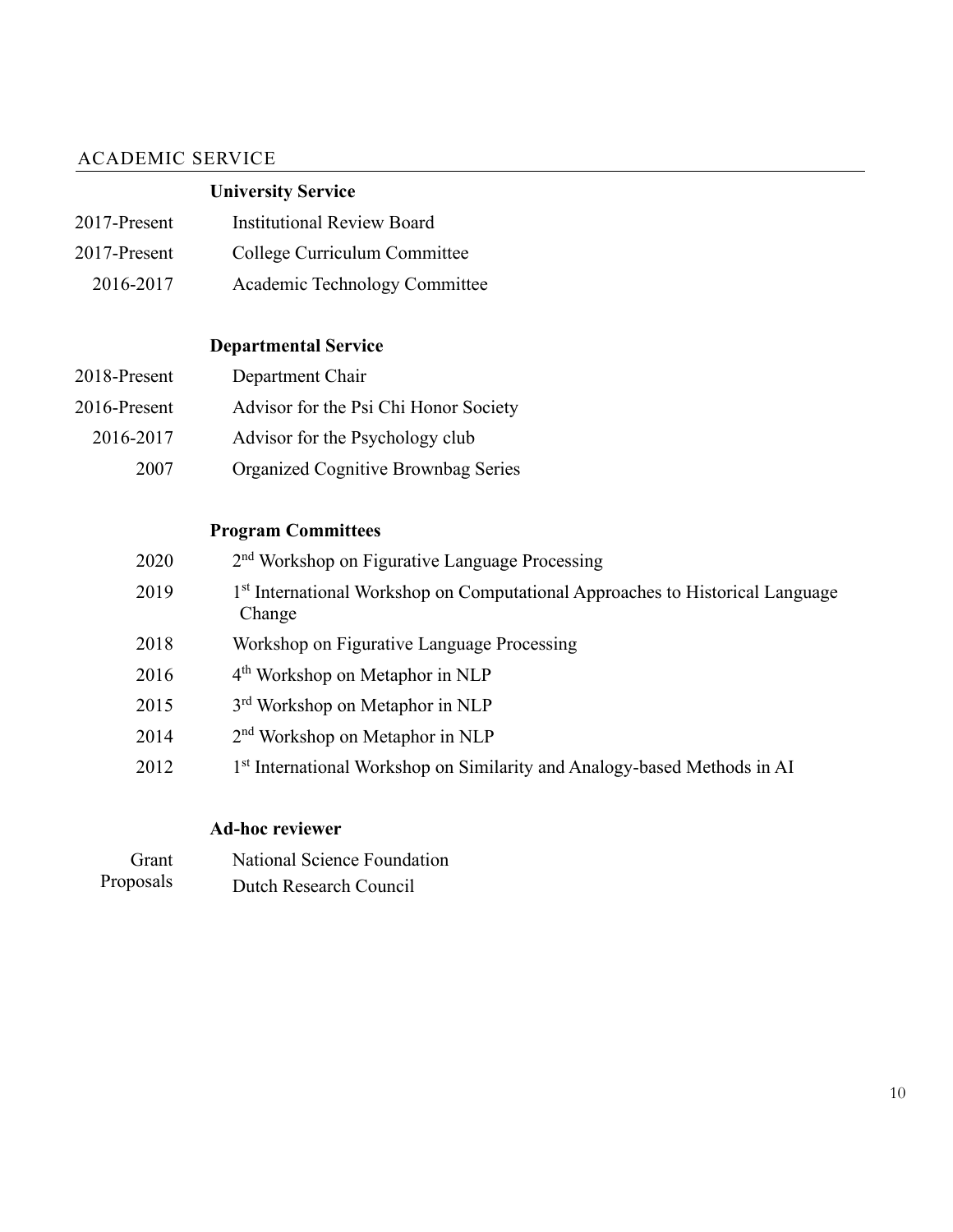## ACADEMIC SERVICE

# **University Service**

| 2017-Present | <b>Institutional Review Board</b> |
|--------------|-----------------------------------|
| 2017-Present | College Curriculum Committee      |
| 2016-2017    | Academic Technology Committee     |

## **Departmental Service**

| 2018-Present | Department Chair                      |
|--------------|---------------------------------------|
| 2016-Present | Advisor for the Psi Chi Honor Society |
| 2016-2017    | Advisor for the Psychology club       |
| 2007         | Organized Cognitive Brownbag Series   |

## **Program Committees**

| 2020 | 2 <sup>nd</sup> Workshop on Figurative Language Processing                                          |
|------|-----------------------------------------------------------------------------------------------------|
| 2019 | 1 <sup>st</sup> International Workshop on Computational Approaches to Historical Language<br>Change |
| 2018 | Workshop on Figurative Language Processing                                                          |
| 2016 | 4 <sup>th</sup> Workshop on Metaphor in NLP                                                         |
| 2015 | 3 <sup>rd</sup> Workshop on Metaphor in NLP                                                         |
| 2014 | $2nd$ Workshop on Metaphor in NLP                                                                   |
| 2012 | 1st International Workshop on Similarity and Analogy-based Methods in AI                            |

# **Ad-hoc reviewer**

| Grant     | National Science Foundation |
|-----------|-----------------------------|
| Proposals | Dutch Research Council      |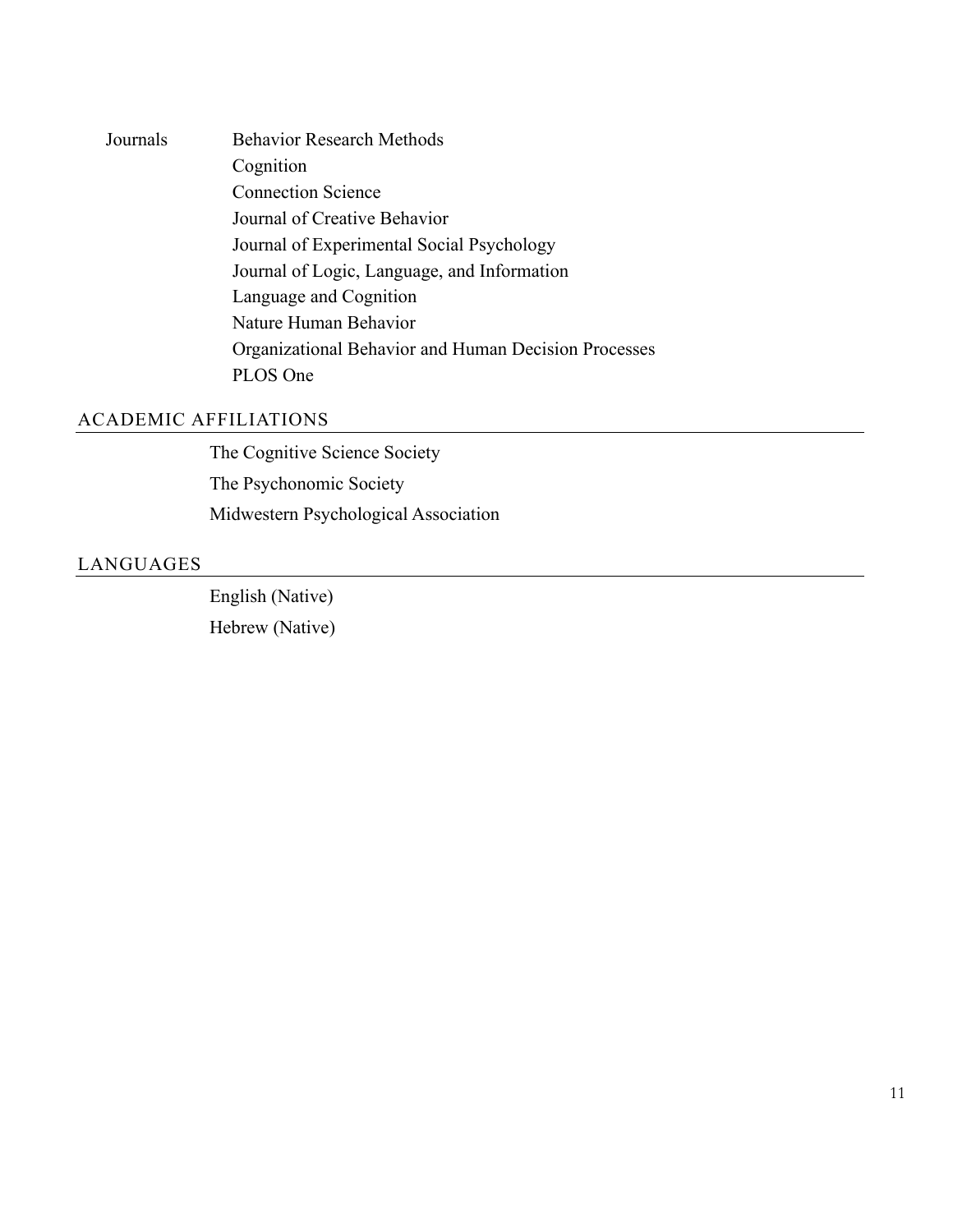Journals Behavior Research Methods Cognition Connection Science Journal of Creative Behavior Journal of Experimental Social Psychology Journal of Logic, Language, and Information Language and Cognition Nature Human Behavior Organizational Behavior and Human Decision Processes PLOS One

#### ACADEMIC AFFILIATIONS

The Cognitive Science Society The Psychonomic Society Midwestern Psychological Association

#### LANGUAGES

English (Native) Hebrew (Native)